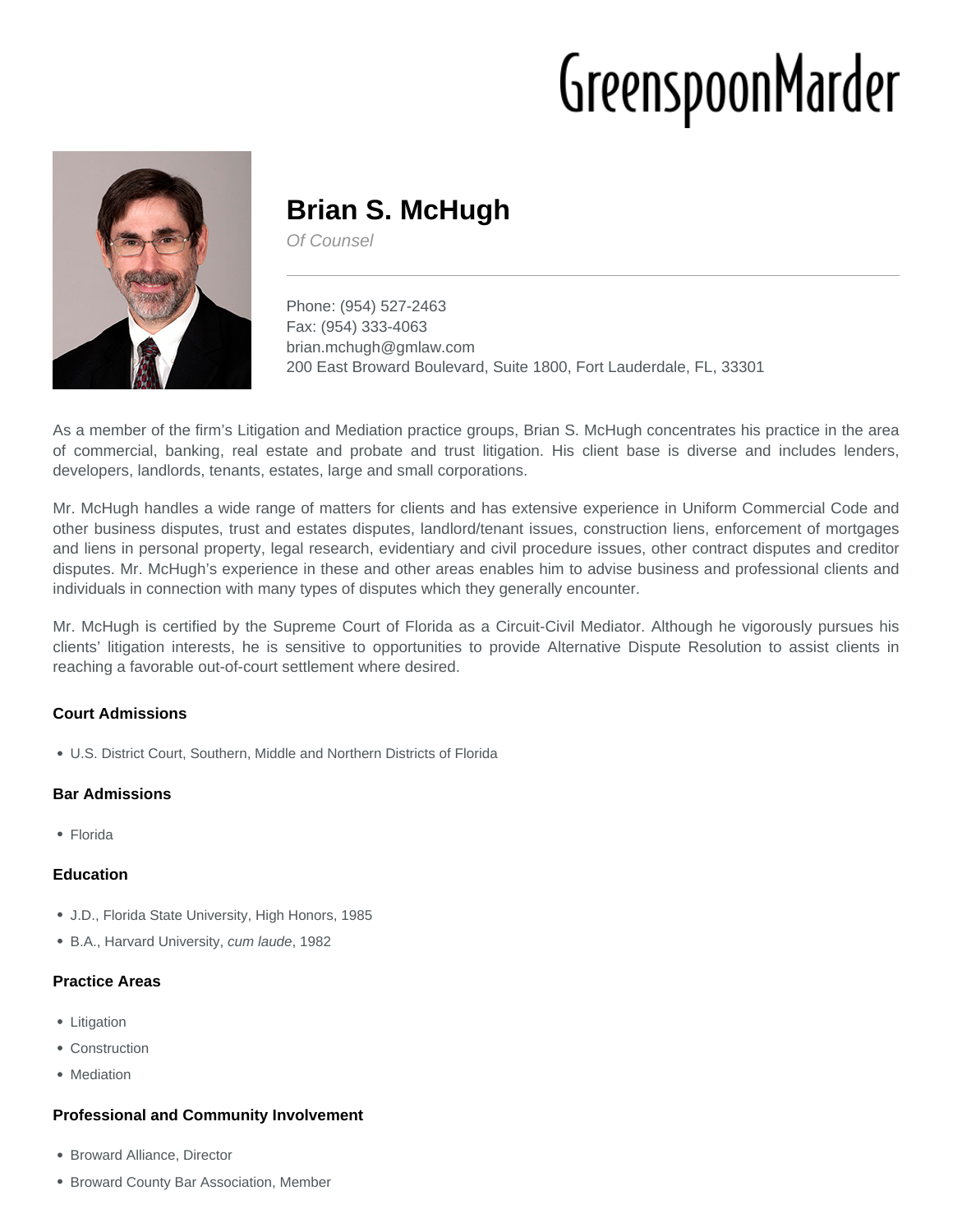# GreenspoonMarder



# **Brian S. McHugh**

Of Counsel

Phone: (954) 527-2463 Fax: (954) 333-4063 brian.mchugh@gmlaw.com 200 East Broward Boulevard, Suite 1800, Fort Lauderdale, FL, 33301

As a member of the firm's Litigation and Mediation practice groups, Brian S. McHugh concentrates his practice in the area of commercial, banking, real estate and probate and trust litigation. His client base is diverse and includes lenders, developers, landlords, tenants, estates, large and small corporations.

Mr. McHugh handles a wide range of matters for clients and has extensive experience in Uniform Commercial Code and other business disputes, trust and estates disputes, landlord/tenant issues, construction liens, enforcement of mortgages and liens in personal property, legal research, evidentiary and civil procedure issues, other contract disputes and creditor disputes. Mr. McHugh's experience in these and other areas enables him to advise business and professional clients and individuals in connection with many types of disputes which they generally encounter.

Mr. McHugh is certified by the Supreme Court of Florida as a Circuit-Civil Mediator. Although he vigorously pursues his clients' litigation interests, he is sensitive to opportunities to provide Alternative Dispute Resolution to assist clients in reaching a favorable out-of-court settlement where desired.

## **Court Admissions**

U.S. District Court, Southern, Middle and Northern Districts of Florida

### **Bar Admissions**

Florida

### **Education**

- J.D., Florida State University, High Honors, 1985
- B.A., Harvard University, cum laude, 1982

### **Practice Areas**

- Litigation
- Construction
- Mediation

### **Professional and Community Involvement**

- Broward Alliance, Director
- **Broward County Bar Association, Member**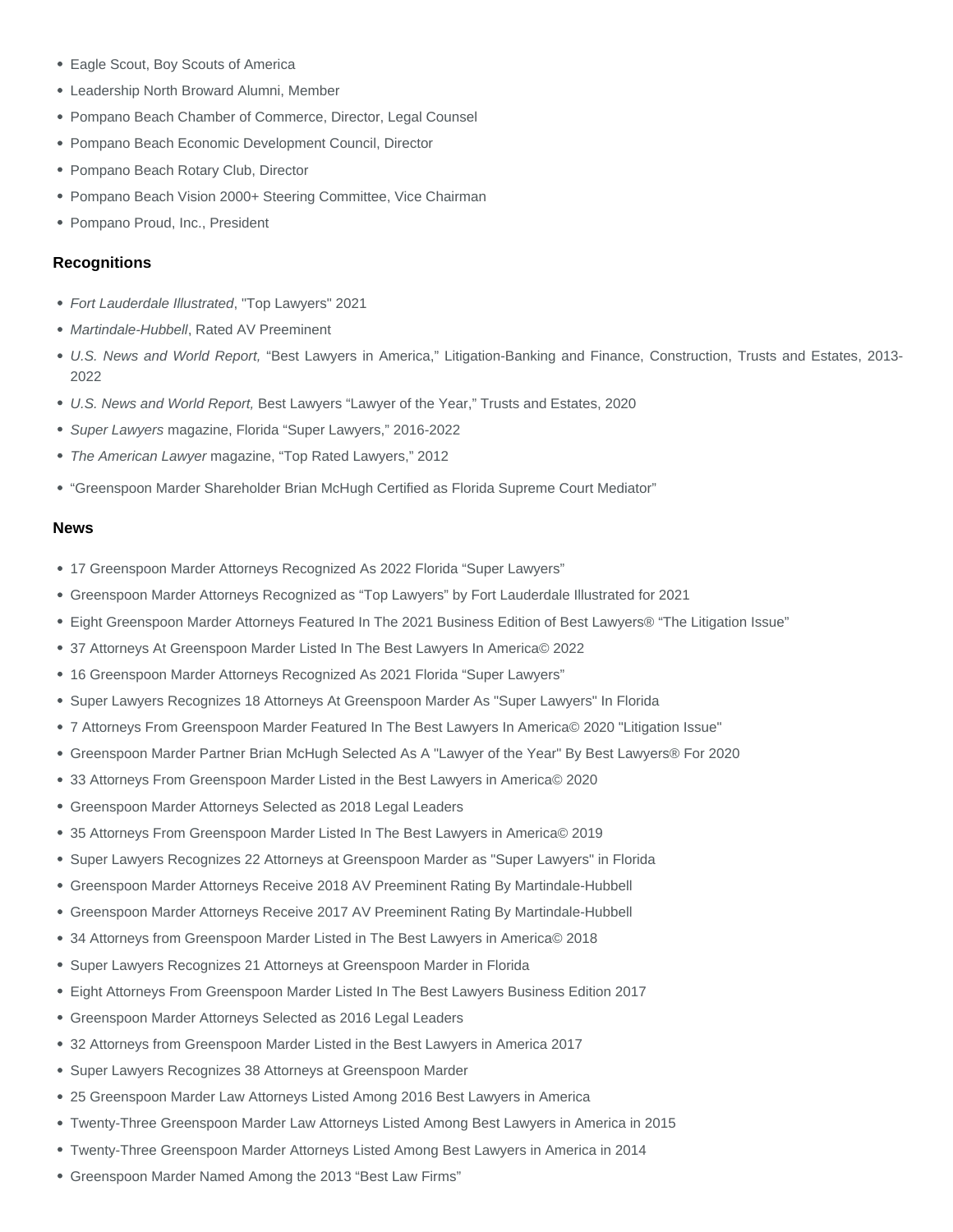- Eagle Scout, Boy Scouts of America
- Leadership North Broward Alumni, Member
- Pompano Beach Chamber of Commerce, Director, Legal Counsel
- Pompano Beach Economic Development Council, Director
- Pompano Beach Rotary Club, Director
- Pompano Beach Vision 2000+ Steering Committee, Vice Chairman
- Pompano Proud, Inc., President

#### **Recognitions**

- Fort Lauderdale Illustrated, "Top Lawyers" 2021
- Martindale-Hubbell, Rated AV Preeminent
- U.S. News and World Report, "Best Lawyers in America," Litigation-Banking and Finance, Construction, Trusts and Estates, 2013- 2022
- U.S. News and World Report, Best Lawyers "Lawyer of the Year," Trusts and Estates, 2020
- Super Lawyers magazine, Florida "Super Lawyers," 2016-2022
- The American Lawyer magazine, "Top Rated Lawyers," 2012
- ["Greenspoon Marder Shareholder Brian McHugh Certified as Florida Supreme Court Mediator"](https://www.gmlaw.com/06202011-greenspoon-marder-shareholder-brian-mchugh-certified-as-florida-supreme-court-mediator/)

#### News

- 17 Greenspoon Marder Attorneys Recognized As 2022 Florida "Super Lawyers"
- Greenspoon Marder Attorneys Recognized as "Top Lawyers" by Fort Lauderdale Illustrated for 2021
- Eight Greenspoon Marder Attorneys Featured In The 2021 Business Edition of Best Lawyers® "The Litigation Issue"
- 37 Attorneys At Greenspoon Marder Listed In The Best Lawyers In America© 2022
- 16 Greenspoon Marder Attorneys Recognized As 2021 Florida "Super Lawyers"
- Super Lawyers Recognizes 18 Attorneys At Greenspoon Marder As "Super Lawyers" In Florida
- 7 Attorneys From Greenspoon Marder Featured In The Best Lawyers In America© 2020 "Litigation Issue"
- Greenspoon Marder Partner Brian McHugh Selected As A "Lawyer of the Year" By Best Lawyers® For 2020
- 33 Attorneys From Greenspoon Marder Listed in the Best Lawyers in America© 2020
- Greenspoon Marder Attorneys Selected as 2018 Legal Leaders
- 35 Attorneys From Greenspoon Marder Listed In The Best Lawyers in America© 2019
- Super Lawyers Recognizes 22 Attorneys at Greenspoon Marder as "Super Lawyers" in Florida
- Greenspoon Marder Attorneys Receive 2018 AV Preeminent Rating By Martindale-Hubbell
- Greenspoon Marder Attorneys Receive 2017 AV Preeminent Rating By Martindale-Hubbell
- 34 Attorneys from Greenspoon Marder Listed in The Best Lawyers in America© 2018
- Super Lawyers Recognizes 21 Attorneys at Greenspoon Marder in Florida
- Eight Attorneys From Greenspoon Marder Listed In The Best Lawyers Business Edition 2017
- Greenspoon Marder Attorneys Selected as 2016 Legal Leaders
- 32 Attorneys from Greenspoon Marder Listed in the Best Lawyers in America 2017
- Super Lawyers Recognizes 38 Attorneys at Greenspoon Marder
- 25 Greenspoon Marder Law Attorneys Listed Among 2016 Best Lawyers in America
- Twenty-Three Greenspoon Marder Law Attorneys Listed Among Best Lawyers in America in 2015
- Twenty-Three Greenspoon Marder Attorneys Listed Among Best Lawyers in America in 2014
- Greenspoon Marder Named Among the 2013 "Best Law Firms"